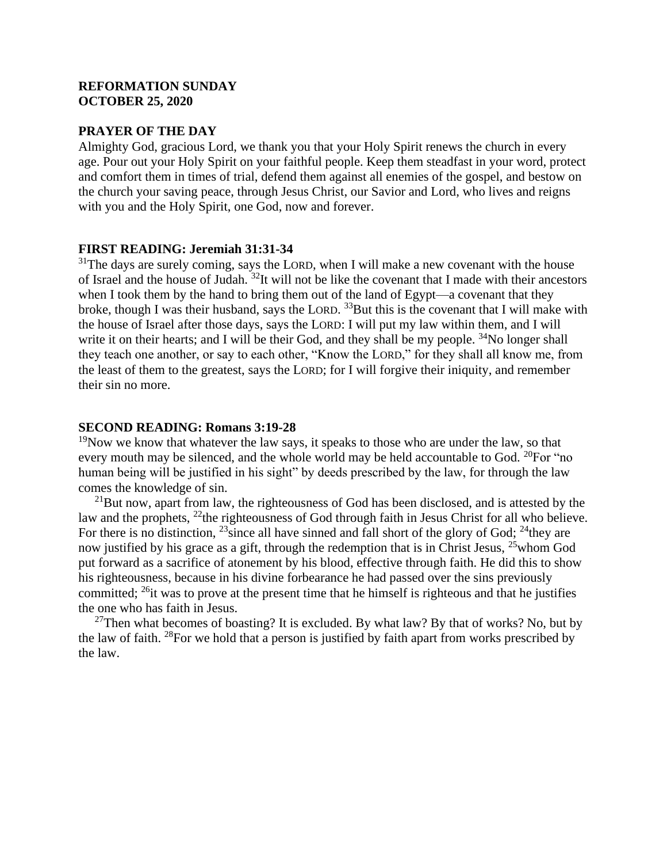# **REFORMATION SUNDAY OCTOBER 25, 2020**

#### **PRAYER OF THE DAY**

Almighty God, gracious Lord, we thank you that your Holy Spirit renews the church in every age. Pour out your Holy Spirit on your faithful people. Keep them steadfast in your word, protect and comfort them in times of trial, defend them against all enemies of the gospel, and bestow on the church your saving peace, through Jesus Christ, our Savior and Lord, who lives and reigns with you and the Holy Spirit, one God, now and forever.

# **FIRST READING: Jeremiah 31:31-34**

 $31$ The days are surely coming, says the LORD, when I will make a new covenant with the house of Israel and the house of Judah. <sup>32</sup>It will not be like the covenant that I made with their ancestors when I took them by the hand to bring them out of the land of Egypt—a covenant that they broke, though I was their husband, says the LORD. <sup>33</sup>But this is the covenant that I will make with the house of Israel after those days, says the LORD: I will put my law within them, and I will write it on their hearts; and I will be their God, and they shall be my people.  $34$ No longer shall they teach one another, or say to each other, "Know the LORD," for they shall all know me, from the least of them to the greatest, says the LORD; for I will forgive their iniquity, and remember their sin no more.

# **SECOND READING: Romans 3:19-28**

 $19N$ ow we know that whatever the law says, it speaks to those who are under the law, so that every mouth may be silenced, and the whole world may be held accountable to God. <sup>20</sup>For "no human being will be justified in his sight" by deeds prescribed by the law, for through the law comes the knowledge of sin.

 $^{21}$ But now, apart from law, the righteousness of God has been disclosed, and is attested by the law and the prophets, <sup>22</sup>the righteousness of God through faith in Jesus Christ for all who believe. For there is no distinction,  $^{23}$  since all have sinned and fall short of the glory of God;  $^{24}$  they are now justified by his grace as a gift, through the redemption that is in Christ Jesus, <sup>25</sup>whom God put forward as a sacrifice of atonement by his blood, effective through faith. He did this to show his righteousness, because in his divine forbearance he had passed over the sins previously committed;  $^{26}$ it was to prove at the present time that he himself is righteous and that he justifies the one who has faith in Jesus.

<sup>27</sup>Then what becomes of boasting? It is excluded. By what law? By that of works? No, but by the law of faith. <sup>28</sup>For we hold that a person is justified by faith apart from works prescribed by the law.